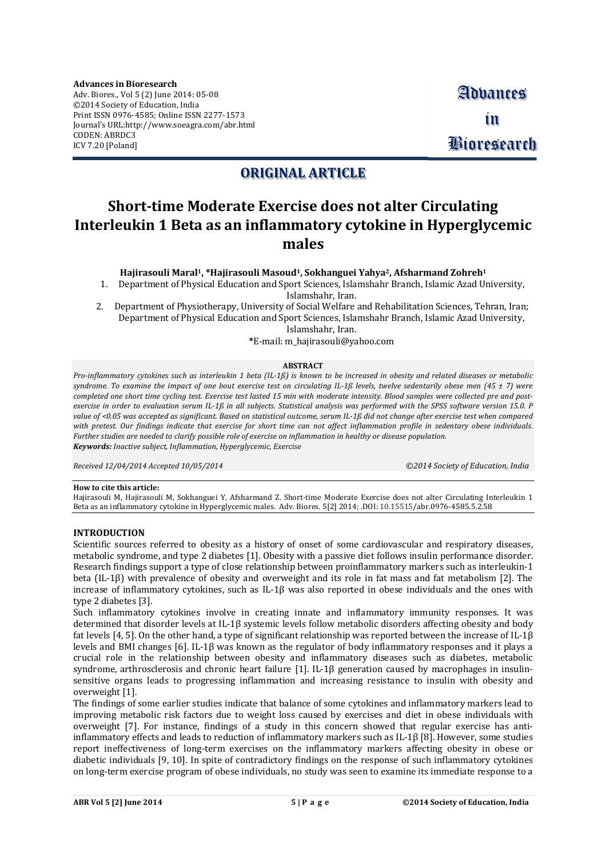**Advances in Bioresearch** Adv. Biores., Vol 5 (2) June 2014: 05-08 ©2014 Society of Education, India Print ISSN 0976-4585; Online ISSN 2277-1573 Journal's URL[:http://www.soeagra.com/abr.html](http://www.soeagra.com/abr.html) CODEN: ABRDC3 ICV 7.20 [Poland]

# **ORIGINAL ARTICLE**

# **Short-time Moderate Exercise does not alter Circulating Interleukin 1 Beta as an inflammatory cytokine in Hyperglycemic males**

## **Hajirasouli Maral <sup>1</sup>, \*Hajirasouli Masoud1, Sokhanguei Yahya2, Afsharmand Zohreh<sup>1</sup>**

1. Department of Physical Education and Sport Sciences, Islamshahr Branch, Islamic Azad University, Islamshahr, Iran.

2. Department of Physiotherapy, University of Social Welfare and Rehabilitation Sciences, Tehran, Iran; Department of Physical Education and Sport Sciences, Islamshahr Branch, Islamic Azad University,

Islamshahr, Iran.

**\***E-mail: [m\\_hajirasouli@yahoo.com](mailto:m_hajirasouli@yahoo.com)

#### **ABSTRACT**

Pro-inflammatory cytokines such as interleukin 1 beta (IL-1R) is known to be increased in obesity and related diseases or metabolic syndrome. To examine the impact of one bout exercise test on circulating IL-1ß levels, twelve sedentarily obese men (45  $\pm$  7) were completed one short time cycling test. Exercise test lasted 15 min with moderate intensity. Blood samples were collected pre and postexercise in order to evaluation serum IL-1ß in all subjects. Statistical analysis was performed with the SPSS software version 15.0. P value of <0.05 was accepted as significant. Based on statistical outcome, serum IL-1ß did not change after exercise test when compared with pretest. Our findings indicate that exercise for short time can not affect inflammation profile in sedentary obese individuals. Further studies are needed to clarify possible role of exercise on inflammation in healthy or disease population. *Keywords: Inactive subject, Inflammation, Hyperglycemic, Exercise*

*Received 12/04/2014 Accepted 10/05/2014 ©2014 Society of Education, India*

#### **How to cite this article:**

Hajirasouli M, Hajirasouli M, Sokhanguei Y, Afsharmand Z. Short-time Moderate Exercise does not alter Circulating Interleukin 1 Beta as an inflammatory cytokine in Hyperglycemic males. Adv. Biores. 5[2] 2014; .DOI: 10.15515/abr.0976-4585.5.2.58

## **INTRODUCTION**

Scientific sources referred to obesity as a history of onset of some cardiovascular and respiratory diseases, metabolic syndrome, and type 2 diabetes [1]. Obesity with a passive diet follows insulin performance disorder. Research findings support a type of close relationship between proinflammatory markers such as interleukin-1 beta (IL-1β) with prevalence of obesity and overweight and its role in fat mass and fat metabolism [2]. The increase of inflammatory cytokines, such as IL-1β was also reported in obese individuals and the ones with type 2 diabetes [3].

Such inflammatory cytokines involve in creating innate and inflammatory immunity responses. It was determined that disorder levels at IL-1β systemic levels follow metabolic disorders affecting obesity and body fat levels [4, 5]. On the other hand, a type of significant relationship was reported between the increase of IL-1β levels and BMI changes [6]. IL-1β was known as the regulator of body inflammatory responses and it plays a crucial role in the relationship between obesity and inflammatory diseases such as diabetes, metabolic syndrome, arthrosclerosis and chronic heart failure [1]. IL-1β generation caused by macrophages in insulinsensitive organs leads to progressing inflammation and increasing resistance to insulin with obesity and overweight [1].

The findings of some earlier studies indicate that balance of some cytokines and inflammatory markers lead to improving metabolic risk factors due to weight loss caused by exercises and diet in obese individuals with overweight [7]. For instance, findings of a study in this concern showed that regular exercise has antiinflammatory effects and leads to reduction of inflammatory markers such as IL-1β [8]. However, some studies report ineffectiveness of long-term exercises on the inflammatory markers affecting obesity in obese or diabetic individuals [9, 10]. In spite of contradictory findings on the response of such inflammatory cytokines on long-term exercise program of obese individuals, no study was seen to examine its immediate response to a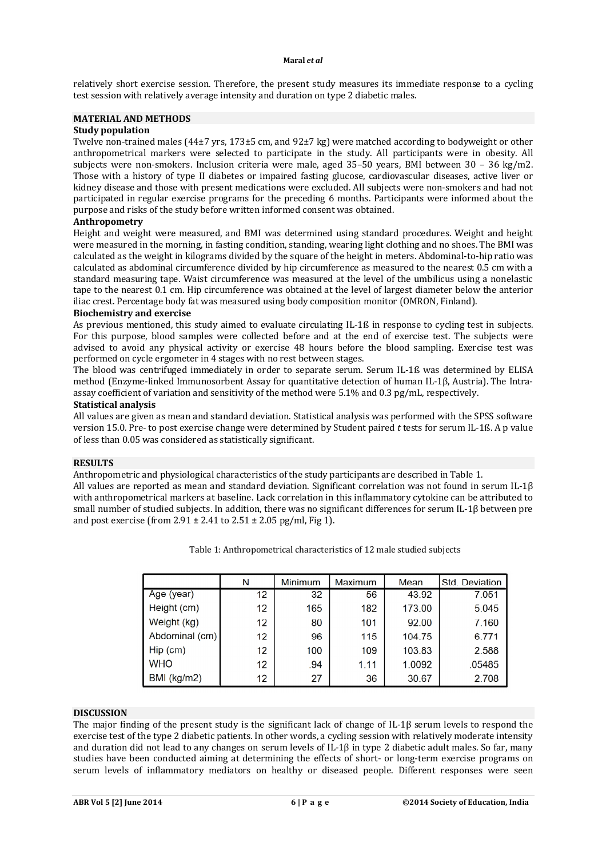#### **Maral** *et al*

relatively short exercise session. Therefore, the present study measures its immediate response to a cycling test session with relatively average intensity and duration on type 2 diabetic males.

# **MATERIAL AND METHODS**

# **Study population**

Twelve non-trained males (44±7 yrs, 173±5 cm, and 92±7 kg) were matched according to bodyweight or other anthropometrical markers were selected to participate in the study. All participants were in obesity. All subjects were non-smokers. Inclusion criteria were male, aged 35–50 years, BMI between 30 – 36 kg/m2. Those with a history of type II diabetes or impaired fasting glucose, cardiovascular diseases, active liver or kidney disease and those with present medications were excluded. All subjects were non-smokers and had not participated in regular exercise programs for the preceding 6 months. Participants were informed about the purpose and risks of the study before written informed consent was obtained.

# **Anthropometry**

Height and weight were measured, and BMI was determined using standard procedures. Weight and height were measured in the morning, in fasting condition, standing, wearing light clothing and no shoes. The BMI was calculated as the weight in kilograms divided by the square of the height in meters. Abdominal-to-hip ratio was calculated as abdominal circumference divided by hip circumference as measured to the nearest 0.5 cm with a standard measuring tape. Waist circumference was measured at the level of the umbilicus using a nonelastic tape to the nearest 0.1 cm. Hip circumference was obtained at the level of largest diameter below the anterior iliac crest. Percentage body fat was measured using body composition monitor (OMRON, Finland).

## **Biochemistry and exercise**

As previous mentioned, this study aimed to evaluate circulating IL-1ß in response to cycling test in subjects. For this purpose, blood samples were collected before and at the end of exercise test. The subjects were advised to avoid any physical activity or exercise 48 hours before the blood sampling. Exercise test was performed on cycle ergometer in 4 stages with no rest between stages.

The blood was centrifuged immediately in order to separate serum. Serum IL-1ß was determined by ELISA method (Enzyme-linked Immunosorbent Assay for quantitative detection of human IL-1β, Austria). The Intraassay coefficient of variation and sensitivity of the method were 5.1% and 0.3 pg/mL, respectively.

#### **Statistical analysis**

All values are given as mean and standard deviation. Statistical analysis was performed with the SPSS software version 15.0. Pre- to post exercise change were determined by Student paired *t* tests for serum IL-1ß. A p value of less than 0.05 was considered as statistically significant.

# **RESULTS**

Anthropometric and physiological characteristics of the study participants are described in Table 1.

All values are reported as mean and standard deviation. Significant correlation was not found in serum IL-1β with anthropometrical markers at baseline. Lack correlation in this inflammatory cytokine can be attributed to small number of studied subjects. In addition, there was no significant differences for serum IL-1β between pre and post exercise (from  $2.91 \pm 2.41$  to  $2.51 \pm 2.05$  pg/ml, Fig 1).

|                | N  | Minimum | Maximum | Mean   | <b>Std. Deviation</b> |
|----------------|----|---------|---------|--------|-----------------------|
| Age (year)     | 12 | 32      | 56      | 43.92  | 7.051                 |
| Height (cm)    | 12 | 165     | 182     | 173.00 | 5.045                 |
| Weight (kg)    | 12 | 80      | 101     | 92.00  | 7.160                 |
| Abdominal (cm) | 12 | 96      | 115     | 104.75 | 6.771                 |
| $Hip$ (cm)     | 12 | 100     | 109     | 103.83 | 2.588                 |
| <b>WHO</b>     | 12 | .94     | 1.11    | 1.0092 | .05485                |
| BMI (kg/m2)    | 12 | 27      | 36      | 30.67  | 2.708                 |

Table 1: Anthropometrical characteristics of 12 male studied subjects

#### **DISCUSSION**

The major finding of the present study is the significant lack of change of IL-1β serum levels to respond the exercise test of the type 2 diabetic patients. In other words, a cycling session with relatively moderate intensity and duration did not lead to any changes on serum levels of IL-1β in type 2 diabetic adult males. So far, many studies have been conducted aiming at determining the effects of short- or long-term exercise programs on serum levels of inflammatory mediators on healthy or diseased people. Different responses were seen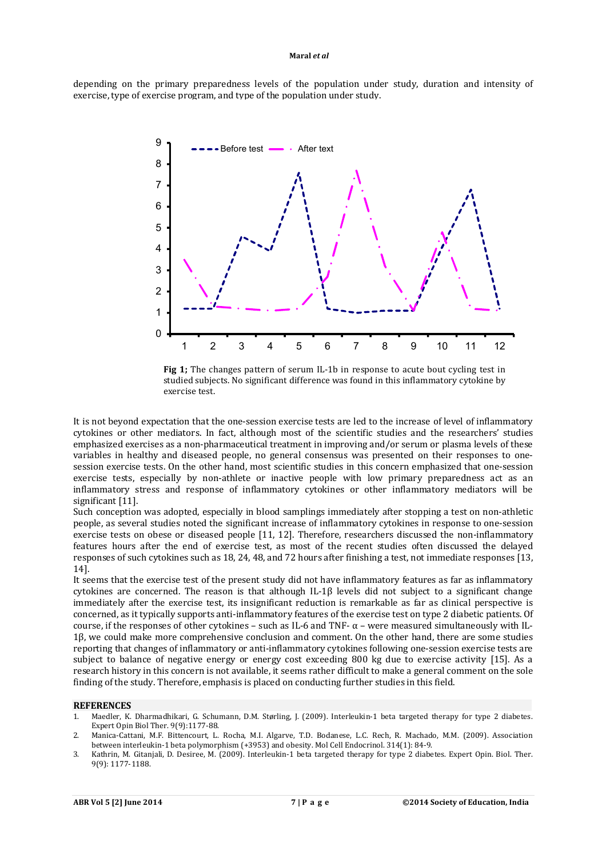#### **Maral** *et al*

depending on the primary preparedness levels of the population under study, duration and intensity of exercise, type of exercise program, and type of the population under study.



**Fig 1;** The changes pattern of serum IL-1b in response to acute bout cycling test in studied subjects. No significant difference was found in this inflammatory cytokine by exercise test.

It is not beyond expectation that the one-session exercise tests are led to the increase of level of inflammatory cytokines or other mediators. In fact, although most of the scientific studies and the researchers' studies emphasized exercises as a non-pharmaceutical treatment in improving and/or serum or plasma levels of these variables in healthy and diseased people, no general consensus was presented on their responses to onesession exercise tests. On the other hand, most scientific studies in this concern emphasized that one-session exercise tests, especially by non-athlete or inactive people with low primary preparedness act as an inflammatory stress and response of inflammatory cytokines or other inflammatory mediators will be significant [11].

Such conception was adopted, especially in blood samplings immediately after stopping a test on non-athletic people, as several studies noted the significant increase of inflammatory cytokines in response to one-session exercise tests on obese or diseased people [11, 12]. Therefore, researchers discussed the non-inflammatory features hours after the end of exercise test, as most of the recent studies often discussed the delayed responses of such cytokines such as 18, 24, 48, and 72 hours after finishing a test, not immediate responses [13, 14].

It seems that the exercise test of the present study did not have inflammatory features as far as inflammatory cytokines are concerned. The reason is that although IL-1 $\beta$  levels did not subject to a significant change immediately after the exercise test, its insignificant reduction is remarkable as far as clinical perspective is concerned, as it typically supports anti-inflammatory features of the exercise test on type 2 diabetic patients. Of course, if the responses of other cytokines – such as IL-6 and TNF- $\alpha$  – were measured simultaneously with IL-1β, we could make more comprehensive conclusion and comment. On the other hand, there are some studies reporting that changes of inflammatory or anti-inflammatory cytokines following one-session exercise tests are subject to balance of negative energy or energy cost exceeding 800 kg due to exercise activity [15]. As a research history in this concern is not available, it seems rather difficult to make a general comment on the sole finding of the study. Therefore, emphasis is placed on conducting further studies in this field.

#### **REFERENCES**

- 1. Maedler, K. Dharmadhikari, G. Schumann, D.M. Størling, J. (2009). Interleukin-1 beta targeted therapy for type 2 diabetes. Expert Opin Biol Ther. 9(9):1177-88.
- 2. Manica-Cattani, M.F. Bittencourt, L. Rocha, M.I. Algarve, T.D. Bodanese, L.C. Rech, R. Machado, M.M. (2009). Association between interleukin-1 beta polymorphism (+3953) and obesity. Mol Cell Endocrinol. 314(1): 84-9.
- 3. Kathrin, M. Gitanjali, D. Desiree, M. (2009). Interleukin-1 beta targeted therapy for type 2 diabetes. Expert Opin. Biol. Ther. 9(9): 1177-1188.